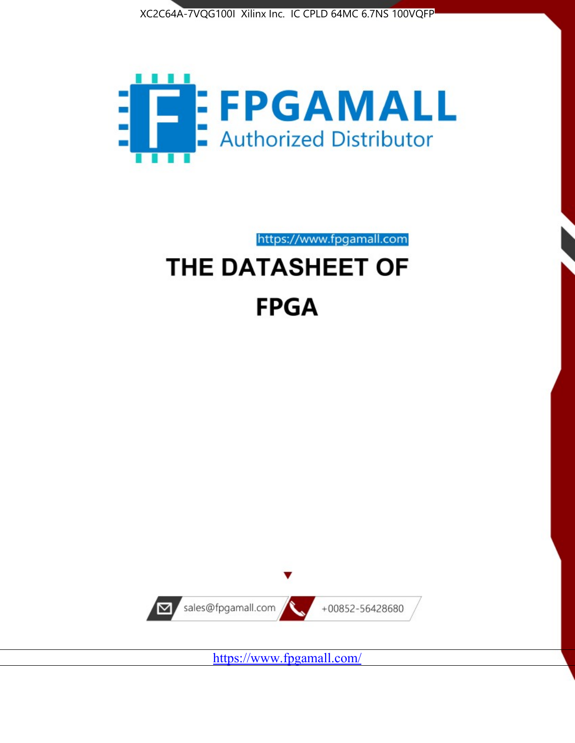



https://www.fpgamall.com THE DATASHEET OF

# **FPGA**



<https://www.fpgamall.com/>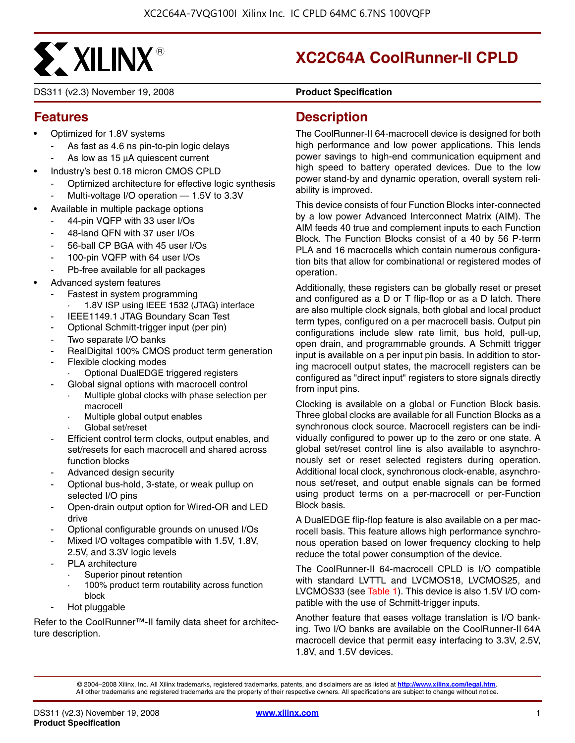

DS311 (v2.3) November 19, 2008 **0 0 Product Specification**

# **XC2C64A CoolRunner-II CPLD**

# **Features**

- Optimized for 1.8V systems
	- As fast as 4.6 ns pin-to-pin logic delays
	- As low as 15 μA quiescent current
- Industry's best 0.18 micron CMOS CPLD
	- Optimized architecture for effective logic synthesis
	- Multi-voltage I/O operation 1.5V to 3.3V
- Available in multiple package options
	- 44-pin VQFP with 33 user I/Os
	- 48-land QFN with 37 user I/Os
	- 56-ball CP BGA with 45 user I/Os
	- 100-pin VQFP with 64 user I/Os
	- Pb-free available for all packages
- Advanced system features
	- Fastest in system programming
		- 1.8V ISP using IEEE 1532 (JTAG) interface
	- IEEE1149.1 JTAG Boundary Scan Test
	- Optional Schmitt-trigger input (per pin)
	- Two separate I/O banks
	- RealDigital 100% CMOS product term generation
	- Flexible clocking modes
		- · Optional DualEDGE triggered registers
		- Global signal options with macrocell control
		- Multiple global clocks with phase selection per macrocell
		- Multiple global output enables
		- Global set/reset
	- Efficient control term clocks, output enables, and set/resets for each macrocell and shared across function blocks
	- Advanced design security
	- Optional bus-hold, 3-state, or weak pullup on selected I/O pins
	- Open-drain output option for Wired-OR and LED drive
	- Optional configurable grounds on unused I/Os
	- Mixed I/O voltages compatible with 1.5V, 1.8V, 2.5V, and 3.3V logic levels
	- PLA architecture
		- Superior pinout retention
		- 100% product term routability across function block
	- Hot pluggable

Refer to the CoolRunner™-II family data sheet for architecture description.

### **Description**

The CoolRunner-II 64-macrocell device is designed for both high performance and low power applications. This lends power savings to high-end communication equipment and high speed to battery operated devices. Due to the low power stand-by and dynamic operation, overall system reliability is improved.

This device consists of four Function Blocks inter-connected by a low power Advanced Interconnect Matrix (AIM). The AIM feeds 40 true and complement inputs to each Function Block. The Function Blocks consist of a 40 by 56 P-term PLA and 16 macrocells which contain numerous configuration bits that allow for combinational or registered modes of operation.

Additionally, these registers can be globally reset or preset and configured as a D or T flip-flop or as a D latch. There are also multiple clock signals, both global and local product term types, configured on a per macrocell basis. Output pin configurations include slew rate limit, bus hold, pull-up, open drain, and programmable grounds. A Schmitt trigger input is available on a per input pin basis. In addition to storing macrocell output states, the macrocell registers can be configured as "direct input" registers to store signals directly from input pins.

Clocking is available on a global or Function Block basis. Three global clocks are available for all Function Blocks as a synchronous clock source. Macrocell registers can be individually configured to power up to the zero or one state. A global set/reset control line is also available to asynchronously set or reset selected registers during operation. Additional local clock, synchronous clock-enable, asynchronous set/reset, and output enable signals can be formed using product terms on a per-macrocell or per-Function Block basis.

A DualEDGE flip-flop feature is also available on a per macrocell basis. This feature allows high performance synchronous operation based on lower frequency clocking to help reduce the total power consumption of the device.

The CoolRunner-II 64-macrocell CPLD is I/O compatible with standard LVTTL and LVCMOS18, LVCMOS25, and LVCMOS33 (see Table 1). This device is also 1.5V I/O compatible with the use of Schmitt-trigger inputs.

Another feature that eases voltage translation is I/O banking. Two I/O banks are available on the CoolRunner-II 64A macrocell device that permit easy interfacing to 3.3V, 2.5V, 1.8V, and 1.5V devices.

© 2004–2008 Xilinx, Inc. All Xilinx trademarks, registered trademarks, patents, and disclaimers are as listed at **<http://www.xilinx.com/legal.htm>**. All other trademarks and registered trademarks are the property of their respective owners. All specifications are subject to change without notice.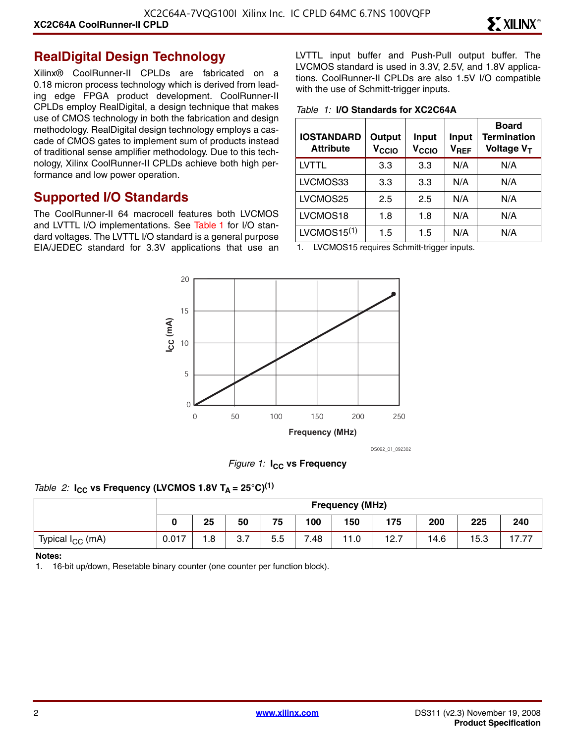#### **RealDigital Design Technology**

Xilinx® CoolRunner-II CPLDs are fabricated on a 0.18 micron process technology which is derived from leading edge FPGA product development. CoolRunner-II CPLDs employ RealDigital, a design technique that makes use of CMOS technology in both the fabrication and design methodology. RealDigital design technology employs a cascade of CMOS gates to implement sum of products instead of traditional sense amplifier methodology. Due to this technology, Xilinx CoolRunner-II CPLDs achieve both high performance and low power operation.

#### **Supported I/O Standards**

The CoolRunner-II 64 macrocell features both LVCMOS and LVTTL I/O implementations. See Table 1 for I/O standard voltages. The LVTTL I/O standard is a general purpose EIA/JEDEC standard for 3.3V applications that use an LVTTL input buffer and Push-Pull output buffer. The LVCMOS standard is used in 3.3V, 2.5V, and 1.8V applications. CoolRunner-II CPLDs are also 1.5V I/O compatible with the use of Schmitt-trigger inputs.

*Table 1:* **I/O Standards for XC2C64A**

| <b>IOSTANDARD</b><br><b>Attribute</b> | Output<br>V <sub>CCIO</sub> | Input<br>V <sub>CCIO</sub> | Input<br>$V_{REF}$ | <b>Board</b><br><b>Termination</b><br>Voltage V <sub>T</sub> |
|---------------------------------------|-----------------------------|----------------------------|--------------------|--------------------------------------------------------------|
| LVTTL                                 | 3.3                         | 3.3                        | N/A                | N/A                                                          |
| LVCMOS33                              | 3.3                         | 3.3                        | N/A                | N/A                                                          |
| LVCMOS25                              | 2.5                         | 2.5                        | N/A                | N/A                                                          |
| LVCMOS18                              | 1.8                         | 1.8                        | N/A                | N/A                                                          |
| LVCMOS15 <sup>(1)</sup>               | 1.5                         | 1.5                        | N/A                | N/A                                                          |

1. LVCMOS15 requires Schmitt-trigger inputs.



DS092\_01\_092302

*Figure 1:* **I<sub>CC</sub>** vs Frequency

#### *Table 2:*  $I_{CC}$  vs Frequency (LVCMOS 1.8V T<sub>A</sub> = 25°C)<sup>(1)</sup>

|                              |       | <b>Frequency (MHz)</b> |     |     |      |     |      |      |      |               |
|------------------------------|-------|------------------------|-----|-----|------|-----|------|------|------|---------------|
|                              |       | 25                     | 50  | 75  | 100  | 150 | 175  | 200  | 225  | 240           |
| Typical I <sub>CC</sub> (mA) | 0.017 | 1.8                    | 3.7 | 5.5 | 7.48 | 1.0 | 12.7 | 14.6 | 15.3 | 77<br>17<br>. |

#### **Notes:**

1. 16-bit up/down, Resetable binary counter (one counter per function block).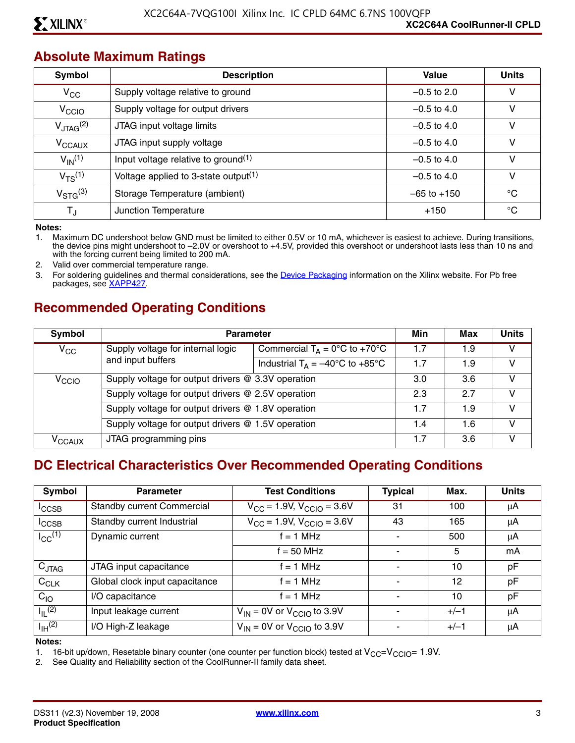#### **Absolute Maximum Ratings**

| Symbol                  | <b>Description</b>                               | Value           | <b>Units</b> |
|-------------------------|--------------------------------------------------|-----------------|--------------|
| $V_{\rm CC}$            | Supply voltage relative to ground                | $-0.5$ to 2.0   | v            |
| V <sub>CCIO</sub>       | Supply voltage for output drivers                | $-0.5$ to 4.0   | ۷            |
| $V_{\text{JTAG}}^{(2)}$ | JTAG input voltage limits                        | $-0.5$ to 4.0   | v            |
| $V_{\text{CCAUX}}$      | JTAG input supply voltage                        | $-0.5$ to 4.0   | v            |
| $V_{\text{IN}}^{(1)}$   | Input voltage relative to ground $(1)$           | $-0.5$ to 4.0   | v            |
| $V_{TS}^{(1)}$          | Voltage applied to 3-state output <sup>(1)</sup> | $-0.5$ to 4.0   | ٧            |
| $V_{\rm STG}^{(3)}$     | Storage Temperature (ambient)                    | $-65$ to $+150$ | $^{\circ}C$  |
| TJ                      | Junction Temperature                             | $+150$          | °C           |

**Notes:** 

1. Maximum DC undershoot below GND must be limited to either 0.5V or 10 mA, whichever is easiest to achieve. During transitions, the device pins might undershoot to –2.0V or overshoot to +4.5V, provided this overshoot or undershoot lasts less than 10 ns and with the forcing current being limited to 200 mA.

2. Valid over commercial temperature range.

3. For soldering guidelines and thermal considerations, see the [Device Packaging](http://www.xilinx.com/support/documentation/package_specifications.htm) information on the Xilinx website. For Pb free packages, see [XAPP427](http://www.xilinx.com/support/documentation/application_notes/xapp427.pdf).

# **Recommended Operating Conditions**

| Symbol             | <b>Parameter</b>                                   |                                                   |     | Max | <b>Units</b> |
|--------------------|----------------------------------------------------|---------------------------------------------------|-----|-----|--------------|
| $V_{\rm CC}$       | Supply voltage for internal logic                  | Commercial $T_A = 0$ °C to +70°C                  | 1.7 | 1.9 | v            |
|                    | and input buffers                                  | Industrial $T_A = -40^{\circ}C$ to $+85^{\circ}C$ | 1.7 | 1.9 | v            |
| V <sub>CCIO</sub>  | Supply voltage for output drivers @ 3.3V operation |                                                   | 3.0 | 3.6 | v            |
|                    | Supply voltage for output drivers @ 2.5V operation |                                                   | 2.3 | 27  | V            |
|                    | Supply voltage for output drivers @ 1.8V operation |                                                   | 1.7 | 1.9 | V            |
|                    | Supply voltage for output drivers @ 1.5V operation |                                                   | 1.4 | 1.6 | v            |
| V <sub>CCAUX</sub> | JTAG programming pins                              |                                                   | 1.7 | 3.6 | v            |

#### **DC Electrical Characteristics Over Recommended Operating Conditions**

| Symbol                           | <b>Parameter</b>                  | <b>Test Conditions</b>                     | <b>Typical</b> | Max.   | <b>Units</b> |
|----------------------------------|-----------------------------------|--------------------------------------------|----------------|--------|--------------|
| $I_{\text{CCSB}}$                | <b>Standby current Commercial</b> | $V_{\rm CC}$ = 1.9V, $V_{\rm CCIO}$ = 3.6V | 31             | 100    | μA           |
| $I_{\text{CCSB}}$                | Standby current Industrial        | $V_{CC}$ = 1.9V, $V_{CCIO}$ = 3.6V         | 43             | 165    | μA           |
| $I_{CC}$ <sup>(1)</sup>          | Dynamic current                   | $f = 1$ MHz                                |                | 500    | μA           |
|                                  |                                   | $f = 50$ MHz                               |                | 5      | mA           |
| $C_{JTAG}$                       | JTAG input capacitance            | $f = 1$ MHz                                |                | 10     | pF           |
| $C_{CLK}$                        | Global clock input capacitance    | $f = 1$ MHz                                |                | 12     | pF           |
| $C_{10}$                         | I/O capacitance                   | $f = 1$ MHz                                |                | 10     | pF           |
| $I_{\parallel L}$ <sup>(2)</sup> | Input leakage current             | $V_{IN}$ = 0V or $V_{CCIO}$ to 3.9V        |                | $+/-1$ | μA           |
| $I_{\text{IH}}^{(2)}$            | I/O High-Z leakage                | $V_{IN}$ = 0V or $V_{CCIO}$ to 3.9V        |                | $+/-1$ | μA           |

**Notes:** 

1. 16-bit up/down, Resetable binary counter (one counter per function block) tested at  $V_{CC}=V_{CCIO}= 1.9V$ .<br>2. See Quality and Reliability section of the CoolRunner-II family data sheet.

See Quality and Reliability section of the CoolRunner-II family data sheet.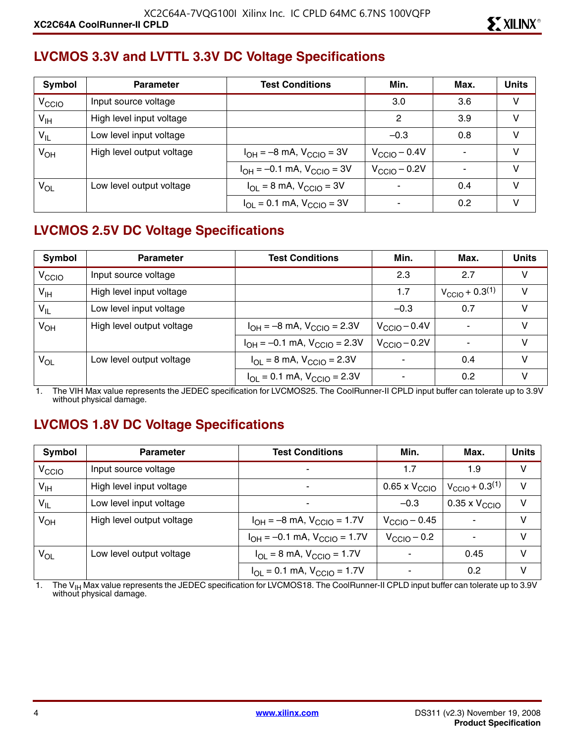### **LVCMOS 3.3V and LVTTL 3.3V DC Voltage Specifications**

| Symbol            | <b>Parameter</b>          | Min.<br><b>Test Conditions</b>                            |                          | Max. | <b>Units</b> |
|-------------------|---------------------------|-----------------------------------------------------------|--------------------------|------|--------------|
| V <sub>CCIO</sub> | Input source voltage      |                                                           | 3.0                      | 3.6  | v            |
| V <sub>IH</sub>   | High level input voltage  |                                                           | 2                        | 3.9  | V            |
| $V_{IL}$          | Low level input voltage   |                                                           | $-0.3$                   | 0.8  | v            |
| $V_{OH}$          | High level output voltage | $I_{OH} = -8$ mA, $V_{CCIO} = 3V$                         | $V_{\text{CCIO}} - 0.4V$ |      | $\vee$       |
|                   |                           | $I_{OH} = -0.1$ mA, $V_{CGIO} = 3V$                       | $V_{\text{CCIO}} - 0.2V$ |      | v            |
| VOL               | Low level output voltage  | $I_{\text{OI}} = 8 \text{ mA}$ , $V_{\text{CCIO}} = 3V$   |                          | 0.4  | $\vee$       |
|                   |                           | $I_{\text{OI}} = 0.1 \text{ mA}$ , $V_{\text{CCIO}} = 3V$ |                          | 0.2  | V            |

# **LVCMOS 2.5V DC Voltage Specifications**

| Symbol            | <b>Parameter</b>          | <b>Test Conditions</b>                                               | Min.                     | Max.                          | <b>Units</b> |
|-------------------|---------------------------|----------------------------------------------------------------------|--------------------------|-------------------------------|--------------|
| V <sub>CCIO</sub> | Input source voltage      |                                                                      | 2.3                      | 2.7                           | V            |
| $V_{\text{IH}}$   | High level input voltage  |                                                                      | 1.7                      | $V_{\text{CCIO}} + 0.3^{(1)}$ | v            |
| $V_{IL}$          | Low level input voltage   |                                                                      | $-0.3$                   | 0.7                           | V            |
| $V_{OH}$          | High level output voltage | $I_{OH} = -8$ mA, $V_{CGIO} = 2.3V$                                  | $V_{\text{CCIO}} - 0.4V$ |                               | v            |
|                   |                           | $I_{OH} = -0.1$ mA, $V_{CClO} = 2.3V$                                | $V_{\text{CCIO}} - 0.2V$ |                               | v            |
| V <sub>OL</sub>   | Low level output voltage  | $I_{\text{OI}} = 8 \text{ mA}$ , $V_{\text{CCIO}} = 2.3 \text{ V}$   |                          | 0.4                           | v            |
|                   |                           | $I_{\text{OI}} = 0.1 \text{ mA}$ , $V_{\text{CCIO}} = 2.3 \text{ V}$ |                          | 0.2                           |              |

1. The VIH Max value represents the JEDEC specification for LVCMOS25. The CoolRunner-II CPLD input buffer can tolerate up to 3.9V without physical damage.

### **LVCMOS 1.8V DC Voltage Specifications**

| Symbol            | <b>Parameter</b>          | <b>Test Conditions</b>                                               | Min.                      | Max.                          | <b>Units</b> |
|-------------------|---------------------------|----------------------------------------------------------------------|---------------------------|-------------------------------|--------------|
| V <sub>CCIO</sub> | Input source voltage      | ۰                                                                    | 1.7                       | 1.9                           | V            |
| $V_{\text{IH}}$   | High level input voltage  | ۰                                                                    | 0.65 x $\rm V_{\rm CClO}$ | $V_{\text{CCIO}} + 0.3^{(1)}$ | V            |
| $V_{IL}$          | Low level input voltage   | ۰                                                                    | $-0.3$                    | $0.35 \times V_{\text{CCIO}}$ | v            |
| $V_{OH}$          | High level output voltage | $I_{OH} = -8$ mA, $V_{CCIO} = 1.7V$                                  | $V_{\rm CClO}$ – 0.45     |                               | v            |
|                   |                           | $I_{OH} = -0.1$ mA, $V_{CClO} = 1.7V$                                | $V_{\text{CCIO}} - 0.2$   |                               | V            |
| $V_{OL}$          | Low level output voltage  | $I_{\text{OI}} = 8 \text{ mA}$ , $V_{\text{CCIO}} = 1.7 \text{ V}$   | $\blacksquare$            | 0.45                          | V            |
|                   |                           | $I_{\text{OI}} = 0.1 \text{ mA}$ , $V_{\text{CCIO}} = 1.7 \text{ V}$ |                           | 0.2                           | v            |

1. The V<sub>IH</sub> Max value represents the JEDEC specification for LVCMOS18. The CoolRunner-II CPLD input buffer can tolerate up to 3.9V<br>without physical damage.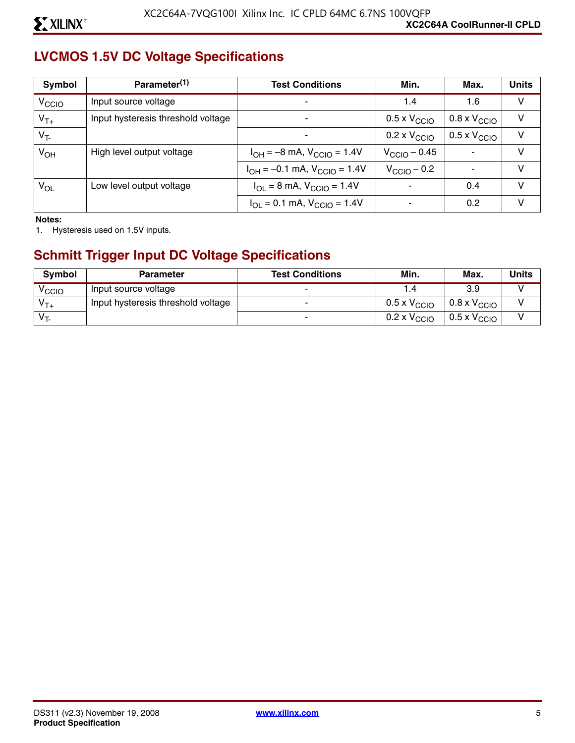# **LVCMOS 1.5V DC Voltage Specifications**

| Symbol            | Parameter <sup>(1)</sup>           | <b>Test Conditions</b>                                               | Min.                         | Max.                         | <b>Units</b> |
|-------------------|------------------------------------|----------------------------------------------------------------------|------------------------------|------------------------------|--------------|
| V <sub>CCIO</sub> | Input source voltage               |                                                                      | 1.4                          | 1.6                          | V            |
| $V_{T+}$          | Input hysteresis threshold voltage |                                                                      | $0.5 \times V_{\text{CCIO}}$ | $0.8 \times V_{\text{CCIO}}$ | v            |
| $V_T$             |                                    |                                                                      | $0.2 \times V_{\text{CCIO}}$ | $0.5 \times V_{\text{CCIO}}$ | V            |
| $V_{OH}$          | High level output voltage          | $I_{OH} = -8$ mA, $V_{CCIO} = 1.4V$                                  | $V_{\text{CCIO}} - 0.45$     | $\blacksquare$               | v            |
|                   |                                    | $I_{OH} = -0.1$ mA, $V_{CCIO} = 1.4V$                                | $V_{\text{CCIO}} - 0.2$      |                              | v            |
| $V_{OL}$          | Low level output voltage           | $I_{OL} = 8$ mA, $V_{CCIO} = 1.4V$                                   |                              | 0.4                          | V            |
|                   |                                    | $I_{\text{OI}} = 0.1 \text{ mA}$ , $V_{\text{CCIO}} = 1.4 \text{ V}$ |                              | 0.2                          | V            |

**Notes:** 

1. Hysteresis used on 1.5V inputs.

# **Schmitt Trigger Input DC Voltage Specifications**

| <b>Symbol</b>     | <b>Parameter</b>                   | <b>Test Conditions</b> | Min.                         | Max.                         | Units |
|-------------------|------------------------------------|------------------------|------------------------------|------------------------------|-------|
| <sup>V</sup> CCIO | Input source voltage               |                        |                              | 3.9                          |       |
| $V_{T+}$          | Input hysteresis threshold voltage |                        | $0.5 \times V_{\text{CCIO}}$ | $0.8 \times V_{\text{CCIO}}$ |       |
| $V_T$             |                                    |                        | 0.2 x $\rm V_{\rm CCO}$      | $0.5 \times V_{\text{CCIO}}$ |       |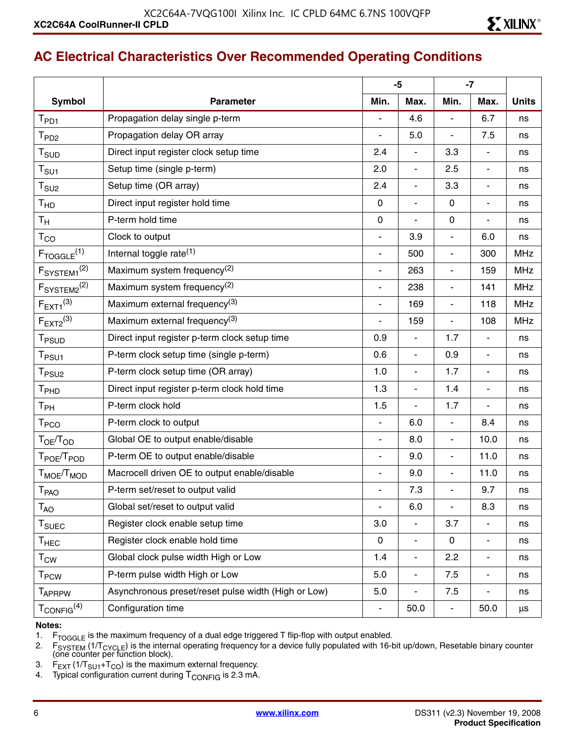# **AC Electrical Characteristics Over Recommended Operating Conditions**

|                                               |                                                     | $-5$                     |                              |                          | $-7$                     |              |
|-----------------------------------------------|-----------------------------------------------------|--------------------------|------------------------------|--------------------------|--------------------------|--------------|
| <b>Symbol</b>                                 | <b>Parameter</b>                                    | Min.                     | Max.                         | Min.                     | Max.                     | <b>Units</b> |
| $T_{PD1}$                                     | Propagation delay single p-term                     |                          | 4.6                          | ä,                       | 6.7                      | ns           |
| T <sub>PD2</sub>                              | Propagation delay OR array                          | $\blacksquare$           | 5.0                          | ä,                       | 7.5                      | ns           |
| $T_{\scriptstyle\text{SUD}}$                  | Direct input register clock setup time              | 2.4                      | $\overline{\phantom{a}}$     | 3.3                      | $\blacksquare$           | ns           |
| $\mathsf{T}_{\mathsf{S}\mathsf{U}\mathsf{1}}$ | Setup time (single p-term)                          | 2.0                      | $\overline{\phantom{a}}$     | 2.5                      | $\overline{\phantom{a}}$ | ns           |
| $\mathsf{T}_{\textsf{SU2}}$                   | Setup time (OR array)                               | 2.4                      | $\overline{\phantom{a}}$     | 3.3                      | $\overline{\phantom{a}}$ | ns           |
| T <sub>HD</sub>                               | Direct input register hold time                     | $\mathbf 0$              | $\overline{\phantom{a}}$     | $\mathbf 0$              | $\overline{\phantom{a}}$ | ns           |
| $T_{\mathsf{H}}$                              | P-term hold time                                    | $\mathbf 0$              | L.                           | $\mathbf 0$              | $\blacksquare$           | ns           |
| $\mathsf{T}_{\mathsf{CO}}$                    | Clock to output                                     | $\overline{\phantom{a}}$ | 3.9                          | $\overline{a}$           | 6.0                      | ns           |
| $F_{TOGGLE}$ <sup>(1)</sup>                   | Internal toggle rate <sup>(1)</sup>                 | $\overline{\phantom{a}}$ | 500                          | $\overline{\phantom{a}}$ | 300                      | <b>MHz</b>   |
| F <sub>SYSTEM1</sub> <sup>(2)</sup>           | Maximum system frequency <sup>(2)</sup>             | $\overline{\phantom{a}}$ | 263                          | ä,                       | 159                      | <b>MHz</b>   |
| F <sub>SYSTEM2</sub> <sup>(2)</sup>           | Maximum system frequency <sup>(2)</sup>             | $\overline{\phantom{a}}$ | 238                          | $\overline{\phantom{a}}$ | 141                      | <b>MHz</b>   |
| $F_{EXT1}^{(3)}$                              | Maximum external frequency <sup>(3)</sup>           | $\overline{\phantom{a}}$ | 169                          | $\overline{\phantom{a}}$ | 118                      | <b>MHz</b>   |
| $F_{EXT2}^{(3)}$                              | Maximum external frequency <sup>(3)</sup>           |                          | 159                          | $\overline{\phantom{a}}$ | 108                      | <b>MHz</b>   |
| T <sub>PSUD</sub>                             | Direct input register p-term clock setup time       | 0.9                      | $\blacksquare$               | 1.7                      | $\blacksquare$           | ns           |
| T <sub>PSU1</sub>                             | P-term clock setup time (single p-term)             | 0.6                      | $\blacksquare$               | 0.9                      | $\blacksquare$           | ns           |
| T <sub>PSU2</sub>                             | P-term clock setup time (OR array)                  | 1.0                      | $\blacksquare$               | 1.7                      | $\blacksquare$           | ns           |
| T <sub>PHD</sub>                              | Direct input register p-term clock hold time        | 1.3                      | $\overline{\phantom{a}}$     | 1.4                      | $\overline{\phantom{a}}$ | ns           |
| $T_{PH}$                                      | P-term clock hold                                   | 1.5                      | $\overline{\phantom{a}}$     | 1.7                      | $\overline{\phantom{a}}$ | ns           |
| T <sub>PCO</sub>                              | P-term clock to output                              | $\overline{\phantom{a}}$ | 6.0                          | $\blacksquare$           | 8.4                      | ns           |
| T <sub>OE</sub> /T <sub>OD</sub>              | Global OE to output enable/disable                  | $\overline{\phantom{a}}$ | 8.0                          | $\blacksquare$           | 10.0                     | ns           |
| T <sub>POE</sub> /T <sub>POD</sub>            | P-term OE to output enable/disable                  | $\overline{\phantom{a}}$ | 9.0                          | $\overline{\phantom{a}}$ | 11.0                     | ns           |
| T <sub>MOE</sub> /T <sub>MOD</sub>            | Macrocell driven OE to output enable/disable        | $\blacksquare$           | 9.0                          | $\overline{a}$           | 11.0                     | ns           |
| <b>T</b> <sub>PAO</sub>                       | P-term set/reset to output valid                    | $\overline{\phantom{a}}$ | 7.3                          | $\blacksquare$           | 9.7                      | ns           |
| $T_{AO}$                                      | Global set/reset to output valid                    |                          | 6.0                          | ä,                       | 8.3                      | ns           |
| T <sub>SUEC</sub>                             | Register clock enable setup time                    | 3.0                      | $\frac{1}{2}$                | 3.7                      | $\blacksquare$           | ns           |
| $\mathsf{T}_{\mathsf{HEC}}$                   | Register clock enable hold time                     | $\mathbf 0$              | $\qquad \qquad \blacksquare$ | $\mathbf 0$              | $\blacksquare$           | ns           |
| $\mathsf{T}_{\mathsf{CW}}$                    | Global clock pulse width High or Low                | 1.4                      | $\overline{\phantom{a}}$     | 2.2                      | $\blacksquare$           | ns           |
| <b>T<sub>PCW</sub></b>                        | P-term pulse width High or Low                      | 5.0                      | $\frac{1}{2}$                | 7.5                      | $\overline{\phantom{a}}$ | ns           |
| <b>TAPRPW</b>                                 | Asynchronous preset/reset pulse width (High or Low) | 5.0                      | $\blacksquare$               | 7.5                      | $\overline{\phantom{a}}$ | ns           |
| $T_{\rm CONFIG}^{(4)}$                        | Configuration time                                  |                          | 50.0                         | $\blacksquare$           | 50.0                     | $\mu s$      |

#### **Notes:**

1.  $F_{TOGGLE}$  is the maximum frequency of a dual edge triggered T flip-flop with output enabled.<br>2.  $F_{SYSTFM}$  (1/T<sub>CYCI F</sub>) is the internal operating frequency for a device fully populated with 16-

2. F<sub>SYSTEM</sub> (1/T<sub>CYCLE</sub>) is the internal operating frequency for a device fully populated with 16-bit up/down, Resetable binary counter<br>(one counter per function block).

- 3.  $F_{\text{EXT}}$  (1/T<sub>SU1</sub>+T<sub>CO</sub>) is the maximum external frequency.
- 4. Typical configuration current during  $T_{\rm CONFIG}$  is 2.3 mA.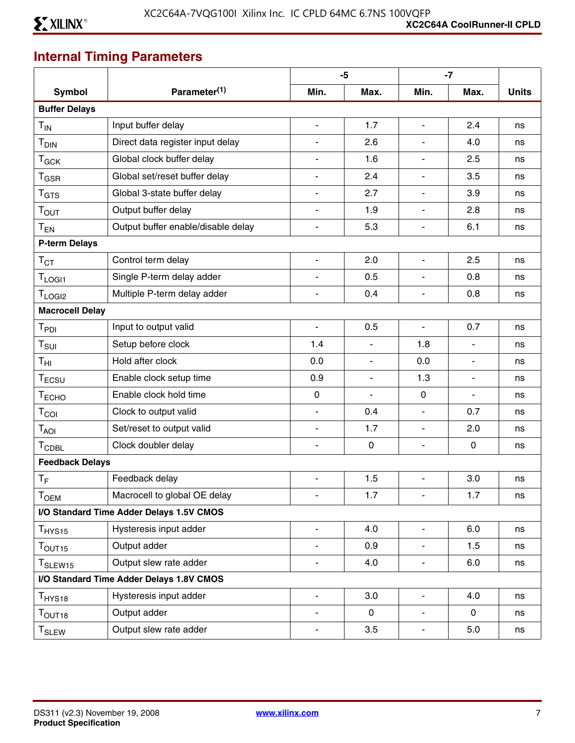# **Internal Timing Parameters**

|                               |                                          |                          | $-5$           |                          | $-7$           |              |
|-------------------------------|------------------------------------------|--------------------------|----------------|--------------------------|----------------|--------------|
| <b>Symbol</b>                 | Parameter <sup>(1)</sup>                 | Min.                     | Max.           | Min.                     | Max.           | <b>Units</b> |
| <b>Buffer Delays</b>          |                                          |                          |                |                          |                |              |
| $T_{IN}$                      | Input buffer delay                       | $\blacksquare$           | 1.7            | $\blacksquare$           | 2.4            | ns           |
| T <sub>DIN</sub>              | Direct data register input delay         |                          | 2.6            |                          | 4.0            | ns           |
| $T_{GCK}$                     | Global clock buffer delay                |                          | 1.6            |                          | 2.5            | ns           |
| $T_{\text{GSR}}$              | Global set/reset buffer delay            |                          | 2.4            | $\mathbf{r}$             | 3.5            | ns           |
| T <sub>GTS</sub>              | Global 3-state buffer delay              |                          | 2.7            | $\blacksquare$           | 3.9            | ns           |
| T <sub>OUT</sub>              | Output buffer delay                      |                          | 1.9            |                          | 2.8            | ns           |
| $T_{EN}$                      | Output buffer enable/disable delay       | $\blacksquare$           | 5.3            | $\blacksquare$           | 6.1            | ns           |
| <b>P-term Delays</b>          |                                          |                          |                |                          |                |              |
| $\mathsf{T}_{\text{CT}}$      | Control term delay                       | $\mathbf{r}$             | 2.0            | $\blacksquare$           | 2.5            | ns           |
| T <sub>LOGI1</sub>            | Single P-term delay adder                |                          | 0.5            | $\blacksquare$           | 0.8            | ns           |
| T <sub>LOGI2</sub>            | Multiple P-term delay adder              | $\overline{\phantom{a}}$ | 0.4            | $\overline{\phantom{a}}$ | 0.8            | ns           |
| <b>Macrocell Delay</b>        |                                          |                          |                |                          |                |              |
| T <sub>PDI</sub>              | Input to output valid                    | $\blacksquare$           | 0.5            | $\blacksquare$           | 0.7            | ns           |
| $\mathsf{T}_{\mathsf{SUI}}$   | Setup before clock                       | 1.4                      | $\blacksquare$ | 1.8                      | $\blacksquare$ | ns           |
| $\mathsf{T}_{\mathsf{HI}}$    | Hold after clock                         | 0.0                      | $\blacksquare$ | 0.0                      | $\blacksquare$ | ns           |
| $T_{ECSU}$                    | Enable clock setup time                  | 0.9                      | $\blacksquare$ | 1.3                      | $\blacksquare$ | ns           |
| T <sub>ECHO</sub>             | Enable clock hold time                   | $\mathbf 0$              | $\blacksquare$ | $\mathbf 0$              | $\blacksquare$ | ns           |
| $T_{COI}$                     | Clock to output valid                    | $\blacksquare$           | 0.4            | $\blacksquare$           | 0.7            | ns           |
| $T_{AOI}$                     | Set/reset to output valid                | $\blacksquare$           | 1.7            | $\blacksquare$           | 2.0            | ns           |
| <b>TCDBL</b>                  | Clock doubler delay                      | $\blacksquare$           | $\mathbf 0$    | $\blacksquare$           | $\mathbf 0$    | ns           |
| <b>Feedback Delays</b>        |                                          |                          |                |                          |                |              |
| $T_F$                         | Feedback delay                           | $\overline{\phantom{a}}$ | 1.5            | $\overline{\phantom{a}}$ | 3.0            | ns           |
| Тоєм                          | Macrocell to global OE delay             | $\blacksquare$           | 1.7            | $\overline{\phantom{0}}$ | 1.7            | ns           |
|                               | I/O Standard Time Adder Delays 1.5V CMOS |                          |                |                          |                |              |
| $T_{HYS15}$                   | Hysteresis input adder                   | $\blacksquare$           | 4.0            | $\blacksquare$           | 6.0            | ns           |
| $T_{\text{OUT15}}$            | Output adder                             | $\overline{\phantom{a}}$ | 0.9            | $\blacksquare$           | 1.5            | ns           |
| T <sub>SLEW15</sub>           | Output slew rate adder                   | $\blacksquare$           | 4.0            | $\blacksquare$           | 6.0            | ns           |
|                               | I/O Standard Time Adder Delays 1.8V CMOS |                          |                |                          |                |              |
| $T_{HYS18}$                   | Hysteresis input adder                   | $\blacksquare$           | 3.0            | $\blacksquare$           | 4.0            | ns           |
| $\mathsf{T}_{\mathsf{OUT18}}$ | Output adder                             | $\blacksquare$           | 0              | $\blacksquare$           | 0              | ns           |
| $\mathsf{T}_{\mathsf{SLEV}}$  | Output slew rate adder                   | $\overline{\phantom{a}}$ | 3.5            | $\blacksquare$           | 5.0            | ns           |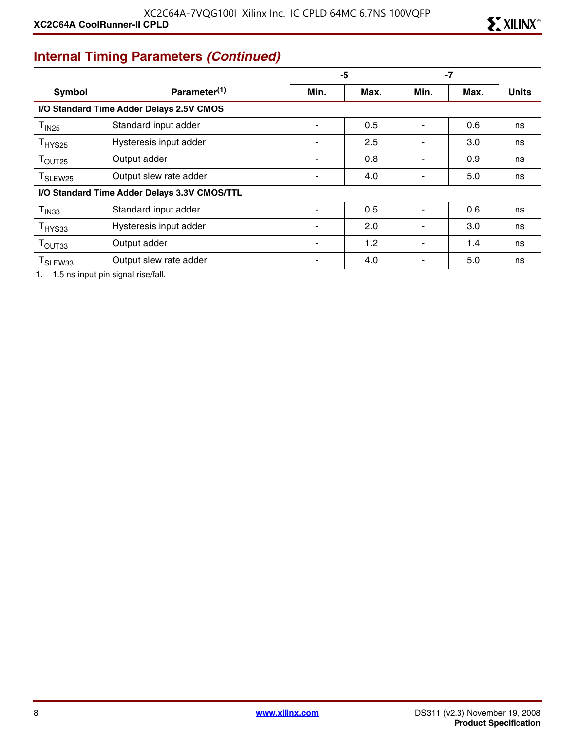# **Internal Timing Parameters** *(Continued)*

|                                              |                                          | -5   |      | $-7$                     |      |              |
|----------------------------------------------|------------------------------------------|------|------|--------------------------|------|--------------|
| <b>Symbol</b>                                | Parameter <sup>(1)</sup>                 | Min. | Max. | Min.                     | Max. | <b>Units</b> |
|                                              | I/O Standard Time Adder Delays 2.5V CMOS |      |      |                          |      |              |
| T <sub>IN25</sub>                            | Standard input adder                     |      | 0.5  | $\blacksquare$           | 0.6  | ns           |
| T <sub>HYS25</sub>                           | Hysteresis input adder                   |      | 2.5  |                          | 3.0  | ns           |
| T <sub>OUT25</sub>                           | Output adder                             |      | 0.8  |                          | 0.9  | ns           |
| T <sub>SLEW25</sub>                          | Output slew rate adder                   |      | 4.0  |                          | 5.0  | ns           |
| I/O Standard Time Adder Delays 3.3V CMOS/TTL |                                          |      |      |                          |      |              |
| T <sub>IN33</sub>                            | Standard input adder                     |      | 0.5  |                          | 0.6  | ns           |
| T <sub>HYS33</sub>                           | Hysteresis input adder                   |      | 2.0  |                          | 3.0  | ns           |
| T <sub>OUT33</sub>                           | Output adder                             |      | 1.2  | $\overline{\phantom{a}}$ | 1.4  | ns           |
| T <sub>SLEW33</sub>                          | Output slew rate adder                   |      | 4.0  | -                        | 5.0  | ns           |

1. 1.5 ns input pin signal rise/fall.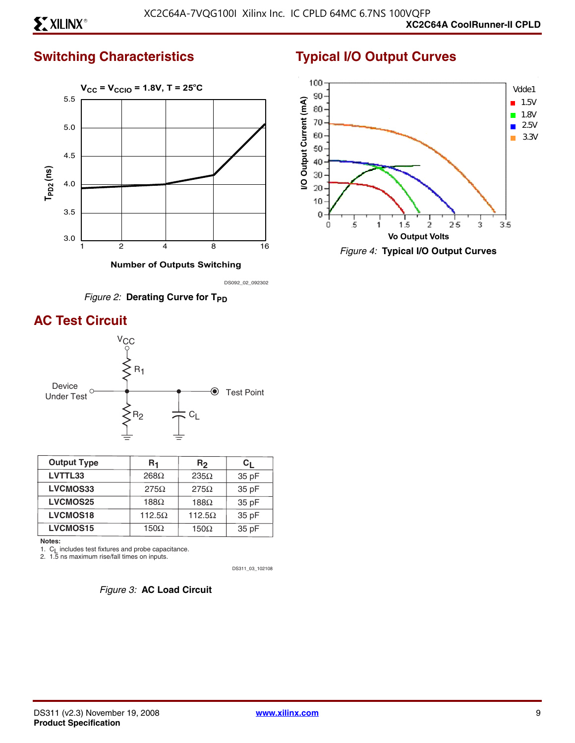# **Switching Characteristics**



 **Number of Outputs Switching**

DS092\_02\_092302



# **AC Test Circuit**



| <b>Output Type</b> | R <sub>1</sub> | R2            | C <sub>I</sub> |
|--------------------|----------------|---------------|----------------|
| LVTTL33            | $268\Omega$    | $235\Omega$   | 35 pF          |
| LVCMOS33           | $275\Omega$    | $275\Omega$   | 35 pF          |
| <b>LVCMOS25</b>    | 188 $\Omega$   | $188\Omega$   | 35 pF          |
| <b>LVCMOS18</b>    | 112.5 $\Omega$ | $112.5\Omega$ | 35 pF          |
| <b>LVCMOS15</b>    | $150\Omega$    | 150 $\Omega$  | 35 pF          |

**Notes:**

1. C<sub>L</sub> includes test fixtures and probe capacitance.<br>2. 1.5 ns maximum rise/fall times on inputs.

DS311\_03\_102108



# **Typical I/O Output Curves**



*Figure 4:* **Typical I/O Output Curves**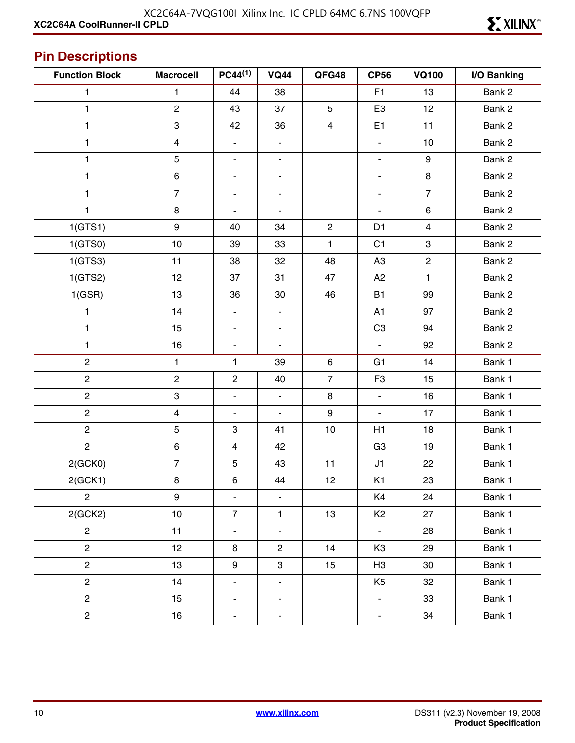# **Pin Descriptions**

| <b>Function Block</b> | <b>Macrocell</b>          | $PC44^{(1)}$                 | <b>VQ44</b>              | QFG48            | <b>CP56</b>              | <b>VQ100</b>   | I/O Banking |
|-----------------------|---------------------------|------------------------------|--------------------------|------------------|--------------------------|----------------|-------------|
| 1                     | 1                         | 44                           | 38                       |                  | F <sub>1</sub>           | 13             | Bank 2      |
| 1                     | $\overline{2}$            | 43                           | 37                       | 5                | E <sub>3</sub>           | 12             | Bank 2      |
| 1                     | $\ensuremath{\mathsf{3}}$ | 42                           | 36                       | 4                | E <sub>1</sub>           | 11             | Bank 2      |
| 1                     | $\overline{\mathbf{4}}$   | $\overline{\phantom{0}}$     | $\overline{\phantom{a}}$ |                  | $\blacksquare$           | 10             | Bank 2      |
| 1                     | $\mathbf 5$               | $\blacksquare$               | $\overline{\phantom{a}}$ |                  | $\blacksquare$           | 9              | Bank 2      |
| 1                     | $\,6\,$                   | $\qquad \qquad \blacksquare$ | $\overline{\phantom{a}}$ |                  | $\blacksquare$           | 8              | Bank 2      |
| 1                     | $\overline{7}$            | $\overline{\phantom{a}}$     | -                        |                  | $\overline{\phantom{a}}$ | $\overline{7}$ | Bank 2      |
| 1                     | $\bf8$                    | $\blacksquare$               | $\blacksquare$           |                  | $\overline{\phantom{a}}$ | $\,6$          | Bank 2      |
| 1(GTS1)               | $\boldsymbol{9}$          | 40                           | 34                       | $\overline{c}$   | D <sub>1</sub>           | $\overline{4}$ | Bank 2      |
| 1(GTS0)               | $10$                      | 39                           | 33                       | 1                | C <sub>1</sub>           | 3              | Bank 2      |
| 1(GTS3)               | 11                        | 38                           | 32                       | 48               | A <sub>3</sub>           | $\mathbf{2}$   | Bank 2      |
| 1(GTS2)               | 12                        | 37                           | 31                       | 47               | A <sub>2</sub>           | 1              | Bank 2      |
| 1(GSR)                | 13                        | 36                           | 30                       | 46               | <b>B1</b>                | 99             | Bank 2      |
| 1                     | 14                        | $\blacksquare$               | $\overline{\phantom{a}}$ |                  | A1                       | 97             | Bank 2      |
| 1                     | 15                        | $\blacksquare$               | $\blacksquare$           |                  | C <sub>3</sub>           | 94             | Bank 2      |
| 1                     | 16                        | $\blacksquare$               | $\blacksquare$           |                  | $\blacksquare$           | 92             | Bank 2      |
| $\overline{c}$        | $\mathbf{1}$              | 1                            | 39                       | $\,6\,$          | G <sub>1</sub>           | 14             | Bank 1      |
| $\mathbf{2}$          | $\overline{c}$            | $\overline{2}$               | 40                       | $\overline{7}$   | F <sub>3</sub>           | 15             | Bank 1      |
| $\overline{c}$        | $\ensuremath{\mathsf{3}}$ | $\blacksquare$               | $\Box$                   | $\,8\,$          | $\blacksquare$           | 16             | Bank 1      |
| $\mathbf{2}$          | $\overline{\mathbf{4}}$   | $\overline{\phantom{a}}$     | $\blacksquare$           | $\boldsymbol{9}$ | $\blacksquare$           | 17             | Bank 1      |
| $\overline{c}$        | $\mathbf 5$               | $\mathfrak{S}$               | 41                       | 10               | H1                       | 18             | Bank 1      |
| $\overline{c}$        | $\,6\,$                   | 4                            | 42                       |                  | G <sub>3</sub>           | 19             | Bank 1      |
| 2(GCKO)               | $\overline{7}$            | $\sqrt{5}$                   | 43                       | 11               | J1                       | 22             | Bank 1      |
| 2(GCK1)               | $\bf8$                    | $\,6$                        | 44                       | 12               | K <sub>1</sub>           | 23             | Bank 1      |
| $\mathbf{2}$          | 9                         | $\overline{\phantom{a}}$     | -                        |                  | K4                       | 24             | Bank 1      |
| 2(GCK2)               | 10                        | $\overline{7}$               | $\mathbf{1}$             | 13               | K <sub>2</sub>           | 27             | Bank 1      |
| $\overline{c}$        | 11                        | $\qquad \qquad \blacksquare$ | $\overline{\phantom{a}}$ |                  | $\overline{\phantom{a}}$ | 28             | Bank 1      |
| $\overline{c}$        | 12                        | 8                            | $\overline{\mathbf{c}}$  | 14               | K <sub>3</sub>           | 29             | Bank 1      |
| $\overline{c}$        | 13                        | $\boldsymbol{9}$             | 3                        | 15               | H <sub>3</sub>           | 30             | Bank 1      |
| $\overline{c}$        | 14                        | $\blacksquare$               | $\overline{\phantom{a}}$ |                  | K <sub>5</sub>           | 32             | Bank 1      |
| $\overline{c}$        | 15                        | $\overline{\phantom{0}}$     | $\overline{\phantom{a}}$ |                  | $\overline{\phantom{a}}$ | 33             | Bank 1      |
| $\overline{c}$        | 16                        | Ξ.                           | ۰                        |                  | $\overline{\phantom{a}}$ | 34             | Bank 1      |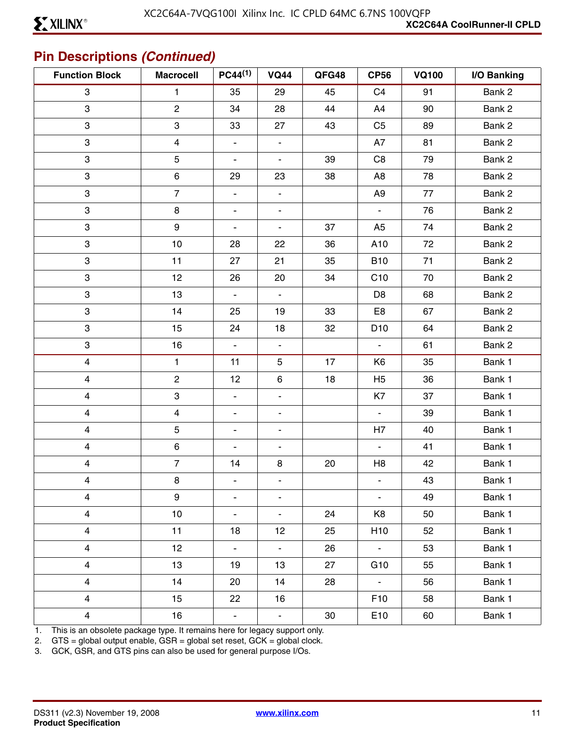# **Pin Descriptions** *(Continued)*

| <b>Function Block</b>   | <b>Macrocell</b>        | $PC44^{(1)}$             | <b>VQ44</b>                  | QFG48 | <b>CP56</b>     | <b>VQ100</b> | I/O Banking |
|-------------------------|-------------------------|--------------------------|------------------------------|-------|-----------------|--------------|-------------|
| $\mathbf{3}$            | $\mathbf{1}$            | 35                       | 29                           | 45    | C <sub>4</sub>  | 91           | Bank 2      |
| 3                       | $\overline{2}$          | 34                       | 28                           | 44    | A4              | 90           | Bank 2      |
| 3                       | 3                       | 33                       | 27                           | 43    | C <sub>5</sub>  | 89           | Bank 2      |
| 3                       | $\overline{\mathbf{4}}$ | $\blacksquare$           | $\overline{\phantom{a}}$     |       | A7              | 81           | Bank 2      |
| 3                       | 5                       | $\blacksquare$           | $\blacksquare$               | 39    | C <sub>8</sub>  | 79           | Bank 2      |
| 3                       | 6                       | 29                       | 23                           | 38    | A <sub>8</sub>  | 78           | Bank 2      |
| 3                       | $\overline{7}$          | $\overline{\phantom{a}}$ | $\qquad \qquad \blacksquare$ |       | A <sub>9</sub>  | 77           | Bank 2      |
| 3                       | $\bf 8$                 | $\overline{\phantom{a}}$ | $\overline{\phantom{a}}$     |       | $\blacksquare$  | 76           | Bank 2      |
| 3                       | 9                       | $\blacksquare$           | $\overline{\phantom{a}}$     | 37    | A <sub>5</sub>  | 74           | Bank 2      |
| 3                       | 10                      | 28                       | 22                           | 36    | A10             | 72           | Bank 2      |
| 3                       | 11                      | 27                       | 21                           | 35    | <b>B10</b>      | 71           | Bank 2      |
| 3                       | 12                      | 26                       | 20                           | 34    | C10             | 70           | Bank 2      |
| 3                       | 13                      | $\blacksquare$           | $\blacksquare$               |       | D <sub>8</sub>  | 68           | Bank 2      |
| 3                       | 14                      | 25                       | 19                           | 33    | E8              | 67           | Bank 2      |
| 3                       | 15                      | 24                       | 18                           | 32    | D <sub>10</sub> | 64           | Bank 2      |
| 3                       | 16                      | $\blacksquare$           | $\blacksquare$               |       | $\blacksquare$  | 61           | Bank 2      |
| $\overline{\mathbf{4}}$ | $\mathbf{1}$            | 11                       | $\mathbf 5$                  | 17    | K <sub>6</sub>  | 35           | Bank 1      |
| $\overline{\mathbf{4}}$ | $\overline{c}$          | 12                       | $\,6$                        | $18$  | H <sub>5</sub>  | 36           | Bank 1      |
| $\overline{\mathbf{4}}$ | 3                       | $\blacksquare$           | $\overline{\phantom{a}}$     |       | K7              | 37           | Bank 1      |
| $\overline{\mathbf{4}}$ | $\overline{\mathbf{4}}$ | $\blacksquare$           | $\overline{\phantom{a}}$     |       | $\blacksquare$  | 39           | Bank 1      |
| $\overline{\mathbf{4}}$ | 5                       | $\blacksquare$           | $\overline{\phantom{a}}$     |       | H7              | 40           | Bank 1      |
| $\overline{\mathbf{4}}$ | 6                       | $\blacksquare$           | $\overline{\phantom{a}}$     |       | $\blacksquare$  | 41           | Bank 1      |
| $\overline{\mathbf{4}}$ | $\overline{7}$          | 14                       | 8                            | 20    | H <sub>8</sub>  | 42           | Bank 1      |
| $\overline{\mathbf{4}}$ | 8                       | $\overline{\phantom{a}}$ | $\blacksquare$               |       | $\blacksquare$  | 43           | Bank 1      |
| 4                       | 9                       | $\overline{\phantom{a}}$ | $\overline{\phantom{a}}$     |       | $\blacksquare$  | 49           | Bank 1      |
| $\overline{4}$          | 10                      | $\blacksquare$           | $\blacksquare$               | 24    | K8              | 50           | Bank 1      |
| $\overline{4}$          | 11                      | 18                       | 12                           | 25    | H <sub>10</sub> | 52           | Bank 1      |
| $\overline{4}$          | 12                      | $\blacksquare$           | $\blacksquare$               | 26    | $\sim$          | 53           | Bank 1      |
| $\overline{\mathbf{4}}$ | 13                      | 19                       | 13                           | 27    | G <sub>10</sub> | 55           | Bank 1      |
| $\overline{4}$          | 14                      | 20                       | 14                           | 28    | $\sim$          | 56           | Bank 1      |
| $\overline{4}$          | 15                      | 22                       | 16                           |       | F <sub>10</sub> | 58           | Bank 1      |
| $\overline{4}$          | 16                      | $\blacksquare$           | ۳                            | 30    | E10             | 60           | Bank 1      |

1. This is an obsolete package type. It remains here for legacy support only.

2. GTS = global output enable, GSR = global set reset, GCK = global clock.

3. GCK, GSR, and GTS pins can also be used for general purpose I/Os.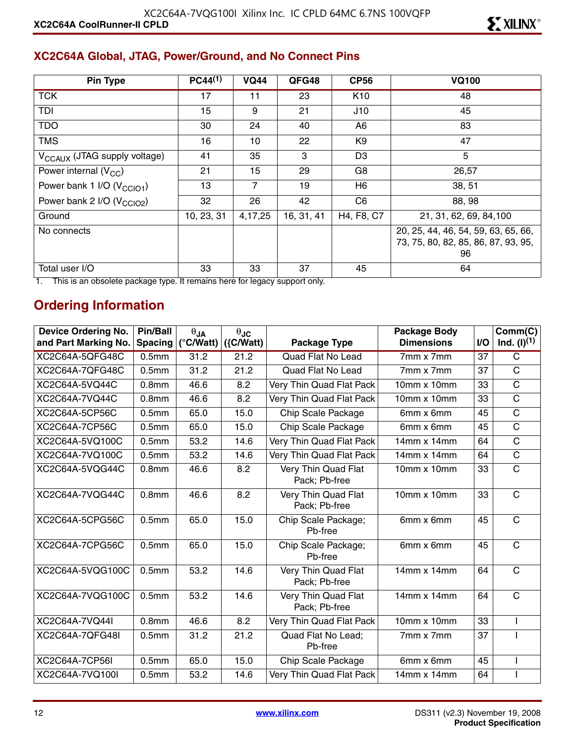#### **XC2C64A Global, JTAG, Power/Ground, and No Connect Pins**

| <b>Pin Type</b>                          | $PC44^{(1)}$ | <b>VQ44</b>    | QFG48      | <b>CP56</b>     | <b>VQ100</b>                                                                     |
|------------------------------------------|--------------|----------------|------------|-----------------|----------------------------------------------------------------------------------|
| <b>TCK</b>                               | 17           | 11             | 23         | K <sub>10</sub> | 48                                                                               |
| TDI                                      | 15           | 9              | 21         | J10             | 45                                                                               |
| <b>TDO</b>                               | 30           | 24             | 40         | A <sub>6</sub>  | 83                                                                               |
| <b>TMS</b>                               | 16           | 10             | 22         | K9              | 47                                                                               |
| V <sub>CCAUX</sub> (JTAG supply voltage) | 41           | 35             | 3          | D <sub>3</sub>  | 5                                                                                |
| Power internal $(V_{CC})$                | 21           | 15             | 29         | G8              | 26,57                                                                            |
| Power bank 1 I/O (V <sub>CCIO1</sub> )   | 13           | $\overline{7}$ | 19         | H6              | 38, 51                                                                           |
| Power bank 2 I/O (V <sub>CCIO2</sub> )   | 32           | 26             | 42         | C <sub>6</sub>  | 88, 98                                                                           |
| Ground                                   | 10, 23, 31   | 4,17,25        | 16, 31, 41 | H4, F8, C7      | 21, 31, 62, 69, 84, 100                                                          |
| No connects                              |              |                |            |                 | 20, 25, 44, 46, 54, 59, 63, 65, 66,<br>73, 75, 80, 82, 85, 86, 87, 93, 95,<br>96 |
| Total user I/O                           | 33           | 33             | 37         | 45              | 64                                                                               |

1. This is an obsolete package type. It remains here for legacy support only.

# **Ordering Information**

| <b>Device Ordering No.</b> | <b>Pin/Ball</b>   | $\theta_{JA}$       | $\theta$ JC  |                                      | <b>Package Body</b> |     | Comm(C)                 |
|----------------------------|-------------------|---------------------|--------------|--------------------------------------|---------------------|-----|-------------------------|
| and Part Marking No.       | <b>Spacing</b>    | $(^{\circ}$ C/Watt) | $({C/Watt})$ | <b>Package Type</b>                  | <b>Dimensions</b>   | I/O | Ind. $(l)^{(1)}$        |
| XC2C64A-5QFG48C            | 0.5 <sub>mm</sub> | 31.2                | 21.2         | <b>Quad Flat No Lead</b>             | 7mm x 7mm           | 37  | $\overline{\text{c}}$   |
| XC2C64A-7QFG48C            | 0.5 <sub>mm</sub> | 31.2                | 21.2         | <b>Quad Flat No Lead</b>             | 7mm x 7mm           | 37  | $\mathsf C$             |
| XC2C64A-5VQ44C             | 0.8 <sub>mm</sub> | 46.6                | 8.2          | Very Thin Quad Flat Pack             | 10mm x 10mm         | 33  | $\mathsf C$             |
| XC2C64A-7VQ44C             | 0.8 <sub>mm</sub> | 46.6                | 8.2          | Very Thin Quad Flat Pack             | $10mm \times 10mm$  | 33  | C                       |
| XC2C64A-5CP56C             | 0.5 <sub>mm</sub> | 65.0                | 15.0         | Chip Scale Package                   | 6mm x 6mm           | 45  | C                       |
| XC2C64A-7CP56C             | 0.5 <sub>mm</sub> | 65.0                | 15.0         | <b>Chip Scale Package</b>            | 6mm x 6mm           | 45  | C                       |
| XC2C64A-5VQ100C            | 0.5 <sub>mm</sub> | 53.2                | 14.6         | Very Thin Quad Flat Pack             | 14mm x 14mm         | 64  | $\overline{\text{C}}$   |
| XC2C64A-7VQ100C            | 0.5 <sub>mm</sub> | 53.2                | 14.6         | Very Thin Quad Flat Pack             | $14mm \times 14mm$  | 64  | $\overline{\mathrm{C}}$ |
| XC2C64A-5VQG44C            | 0.8 <sub>mm</sub> | 46.6                | 8.2          | Very Thin Quad Flat<br>Pack; Pb-free | $10mm \times 10mm$  | 33  | $\overline{\text{c}}$   |
| XC2C64A-7VQG44C            | 0.8 <sub>mm</sub> | 46.6                | 8.2          | Very Thin Quad Flat<br>Pack; Pb-free | $10mm \times 10mm$  | 33  | $\mathsf{C}$            |
| XC2C64A-5CPG56C            | 0.5 <sub>mm</sub> | 65.0                | 15.0         | Chip Scale Package;<br>Pb-free       | 6mm x 6mm           | 45  | $\mathsf{C}$            |
| XC2C64A-7CPG56C            | 0.5 <sub>mm</sub> | 65.0                | 15.0         | Chip Scale Package;<br>Pb-free       | 6mm x 6mm           | 45  | $\mathsf{C}$            |
| XC2C64A-5VQG100C           | 0.5 <sub>mm</sub> | 53.2                | 14.6         | Very Thin Quad Flat<br>Pack; Pb-free | 14mm x 14mm         | 64  | $\mathsf{C}$            |
| XC2C64A-7VQG100C           | 0.5 <sub>mm</sub> | 53.2                | 14.6         | Very Thin Quad Flat<br>Pack; Pb-free | 14mm x 14mm         | 64  | $\mathsf{C}$            |
| XC2C64A-7VQ44I             | 0.8 <sub>mm</sub> | 46.6                | 8.2          | Very Thin Quad Flat Pack             | 10mm x 10mm         | 33  |                         |
| XC2C64A-7QFG48I            | 0.5 <sub>mm</sub> | 31.2                | 21.2         | Quad Flat No Lead;<br>Pb-free        | 7mm x 7mm           | 37  |                         |
| XC2C64A-7CP56I             | 0.5 <sub>mm</sub> | 65.0                | 15.0         | Chip Scale Package                   | 6mm x 6mm           | 45  |                         |
| XC2C64A-7VQ100I            | 0.5 <sub>mm</sub> | 53.2                | 14.6         | Very Thin Quad Flat Pack             | 14mm x 14mm         | 64  |                         |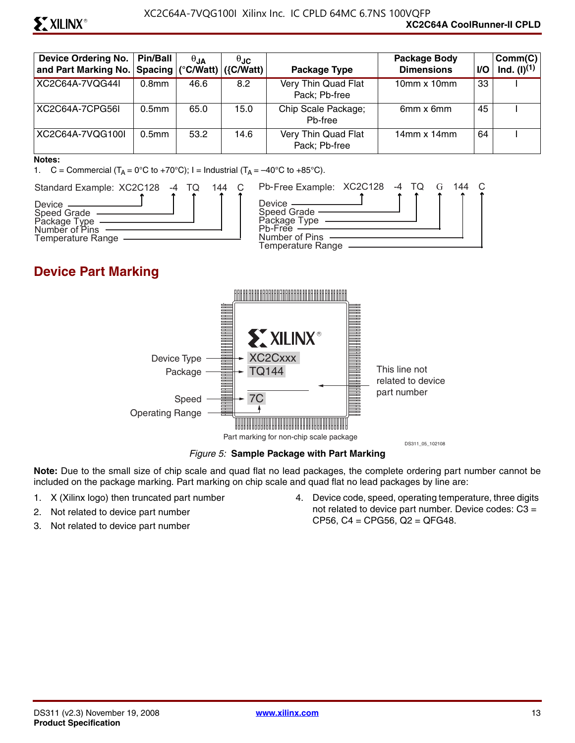# **ST XILINX®**

| <b>Device Ordering No.</b><br>and Part Marking No.   Spacing   (°C/Watt)   ({C/Watt) | <b>Pin/Ball</b>   | $\theta$ JA | $\theta$ JC | Package Type                         | <b>Package Body</b><br><b>Dimensions</b> | VO. | Comm(C)<br>$Ind. (I)^{(1)}$ |
|--------------------------------------------------------------------------------------|-------------------|-------------|-------------|--------------------------------------|------------------------------------------|-----|-----------------------------|
| XC2C64A-7VQG44I                                                                      | 0.8 <sub>mm</sub> | 46.6        | 8.2         | Very Thin Quad Flat<br>Pack; Pb-free | $10mm \times 10mm$                       | 33  |                             |
| XC2C64A-7CPG56L                                                                      | 0.5 <sub>mm</sub> | 65.0        | 15.0        | Chip Scale Package;<br>Ph-free       | 6mm x 6mm                                | 45  |                             |
| XC2C64A-7VQG100I                                                                     | 0.5 <sub>mm</sub> | 53.2        | 14.6        | Very Thin Quad Flat<br>Pack; Pb-free | $14$ mm x $14$ mm                        | 64  |                             |

#### **Notes:**

1. C = Commercial  $(T_A = 0^\circ \text{C}$  to +70°C); I = Industrial  $(T_A = -40^\circ \text{C}$  to +85°C).



### **Device Part Marking**



*Figure 5:* **Sample Package with Part Marking**

**Note:** Due to the small size of chip scale and quad flat no lead packages, the complete ordering part number cannot be included on the package marking. Part marking on chip scale and quad flat no lead packages by line are:

- 1. X (Xilinx logo) then truncated part number
- 2. Not related to device part number
- 3. Not related to device part number

4. Device code, speed, operating temperature, three digits not related to device part number. Device codes: C3 = CP56, C4 = CPG56, Q2 = QFG48.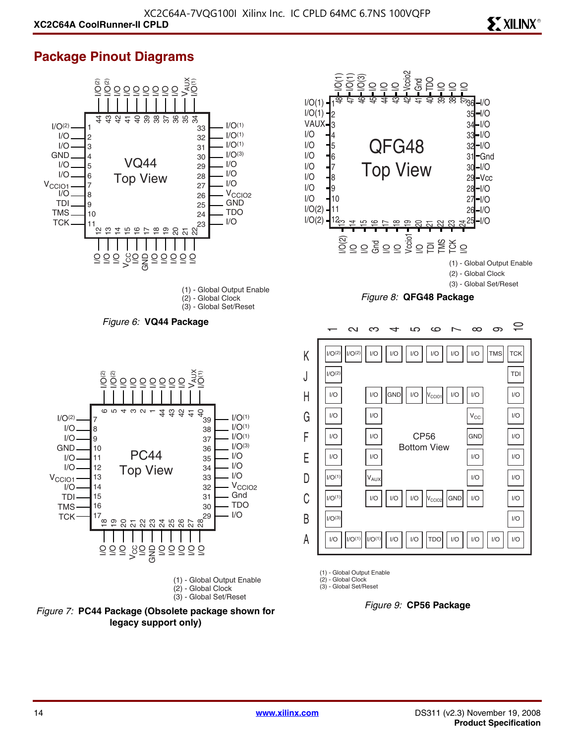### **Package Pinout Diagrams**







**ST XILINX<sup>®</sup>** 

(1) - Global Output Enable

(2) - Global Clock (3) - Global Set/Reset

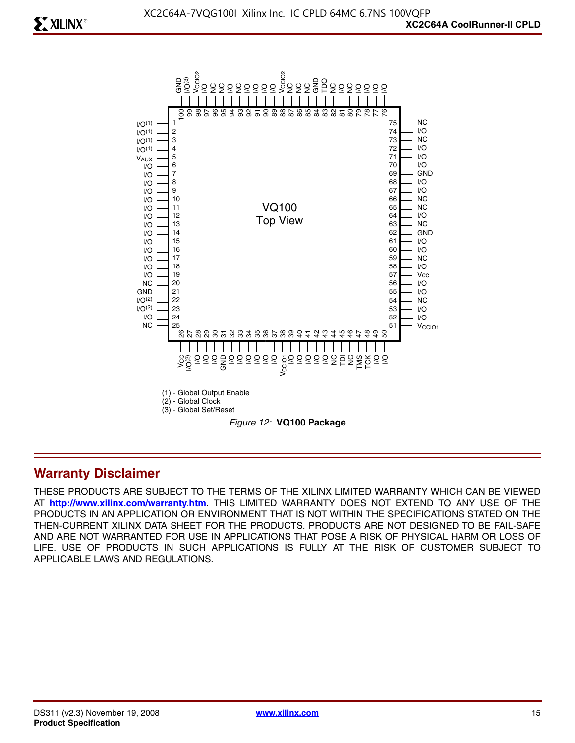

#### **Warranty Disclaimer**

THESE PRODUCTS ARE SUBJECT TO THE TERMS OF THE XILINX LIMITED WARRANTY WHICH CAN BE VIEWED AT **<http://www.xilinx.com/warranty.htm>**. THIS LIMITED WARRANTY DOES NOT EXTEND TO ANY USE OF THE PRODUCTS IN AN APPLICATION OR ENVIRONMENT THAT IS NOT WITHIN THE SPECIFICATIONS STATED ON THE THEN-CURRENT XILINX DATA SHEET FOR THE PRODUCTS. PRODUCTS ARE NOT DESIGNED TO BE FAIL-SAFE AND ARE NOT WARRANTED FOR USE IN APPLICATIONS THAT POSE A RISK OF PHYSICAL HARM OR LOSS OF LIFE. USE OF PRODUCTS IN SUCH APPLICATIONS IS FULLY AT THE RISK OF CUSTOMER SUBJECT TO APPLICABLE LAWS AND REGULATIONS.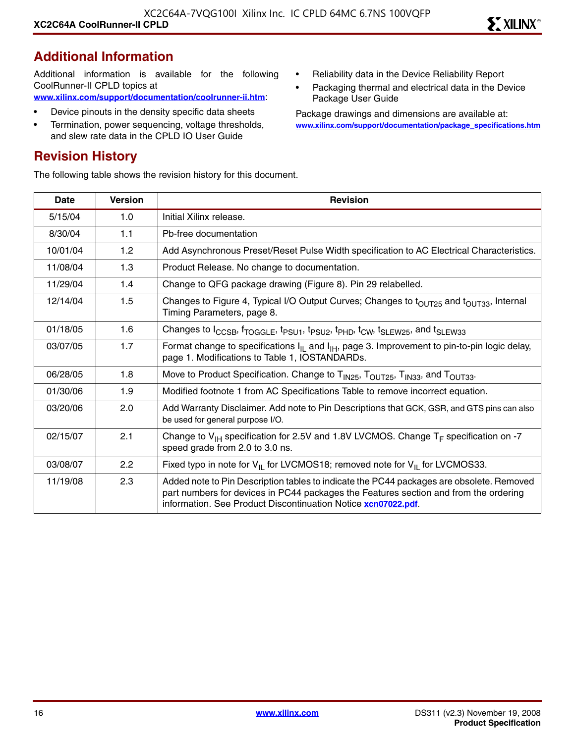#### **Additional Information**

Additional information is available for the following CoolRunner-II CPLD topics at **[www.xilinx.com/support/documentation/coolrunner-ii.htm](http://www.xilinx.com/support/documentation/coolrunner-ii.htm)**:

- Device pinouts in the density specific data sheets
- Termination, power sequencing, voltage thresholds, and slew rate data in the CPLD IO User Guide

#### **Revision History**

The following table shows the revision history for this document.

- Reliability data in the Device Reliability Report
- Packaging thermal and electrical data in the Device Package User Guide

Package drawings and dimensions are available at: **[www.xilinx.com/support/documentation/package\\_specifications.htm](http://www.xilinx.com/support/documentation/package_specifications.htm)**

| Date     | <b>Version</b> | <b>Revision</b>                                                                                                                                                                                                                                   |
|----------|----------------|---------------------------------------------------------------------------------------------------------------------------------------------------------------------------------------------------------------------------------------------------|
| 5/15/04  | 1.0            | Initial Xilinx release.                                                                                                                                                                                                                           |
| 8/30/04  | 1.1            | Pb-free documentation                                                                                                                                                                                                                             |
| 10/01/04 | 1.2            | Add Asynchronous Preset/Reset Pulse Width specification to AC Electrical Characteristics.                                                                                                                                                         |
| 11/08/04 | 1.3            | Product Release. No change to documentation.                                                                                                                                                                                                      |
| 11/29/04 | 1.4            | Change to QFG package drawing (Figure 8). Pin 29 relabelled.                                                                                                                                                                                      |
| 12/14/04 | 1.5            | Changes to Figure 4, Typical I/O Output Curves; Changes to t <sub>OUT25</sub> and t <sub>OUT33</sub> , Internal<br>Timing Parameters, page 8.                                                                                                     |
| 01/18/05 | 1.6            | Changes to I <sub>CCSB</sub> , f <sub>TOGGLE</sub> , t <sub>PSU1</sub> , t <sub>PSU2</sub> , t <sub>PHD</sub> , t <sub>CW</sub> , t <sub>SLEW25</sub> , and t <sub>SLEW33</sub>                                                                   |
| 03/07/05 | 1.7            | Format change to specifications $I_{IL}$ and $I_{IH}$ , page 3. Improvement to pin-to-pin logic delay,<br>page 1. Modifications to Table 1, IOSTANDARDs.                                                                                          |
| 06/28/05 | 1.8            | Move to Product Specification. Change to T <sub>IN25</sub> , T <sub>OUT25</sub> , T <sub>IN33</sub> , and T <sub>OUT33</sub> .                                                                                                                    |
| 01/30/06 | 1.9            | Modified footnote 1 from AC Specifications Table to remove incorrect equation.                                                                                                                                                                    |
| 03/20/06 | 2.0            | Add Warranty Disclaimer. Add note to Pin Descriptions that GCK, GSR, and GTS pins can also<br>be used for general purpose I/O.                                                                                                                    |
| 02/15/07 | 2.1            | Change to $V_{H}$ specification for 2.5V and 1.8V LVCMOS. Change $T_F$ specification on -7<br>speed grade from 2.0 to 3.0 ns.                                                                                                                     |
| 03/08/07 | 2.2            | Fixed typo in note for $V_{II}$ for LVCMOS18; removed note for $V_{II}$ for LVCMOS33.                                                                                                                                                             |
| 11/19/08 | 2.3            | Added note to Pin Description tables to indicate the PC44 packages are obsolete. Removed<br>part numbers for devices in PC44 packages the Features section and from the ordering<br>information. See Product Discontinuation Notice xcn07022.pdf. |